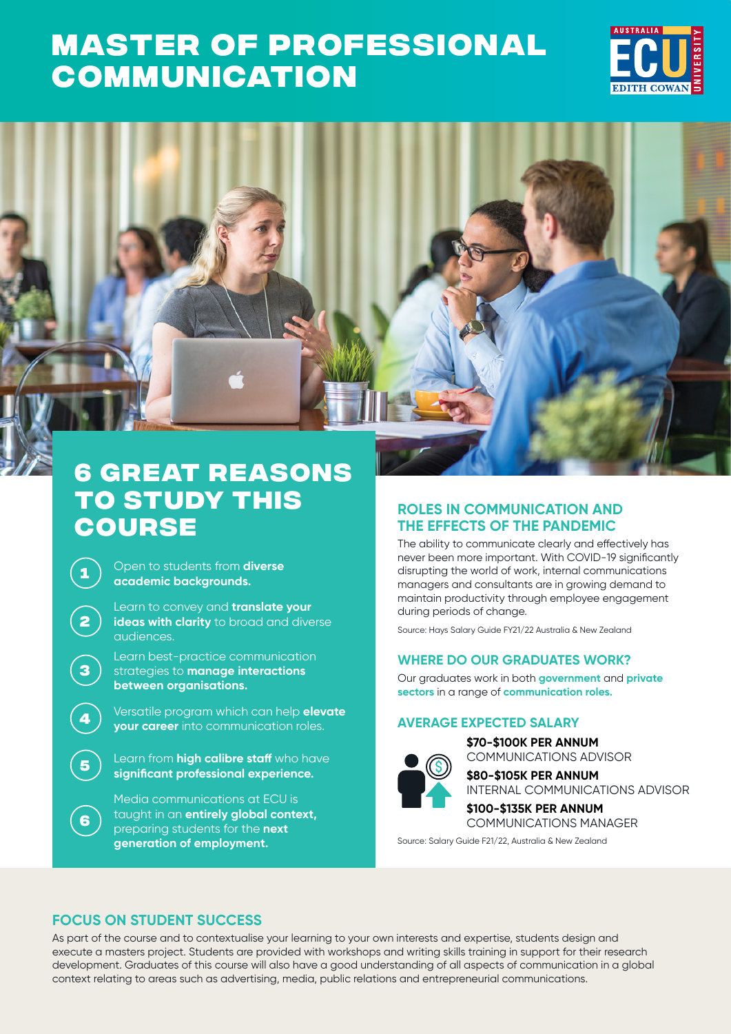# **[MASTER OF PROFESSIONAL](https://www.ecu.edu.au/degrees/courses/master-of-professional-communication)  COMMUNICATION**



## **6 great reasons to study this course**

**<sup>1</sup>** Open to students from **diverse academic backgrounds.**

**2**

**3**

**6**

Learn to convey and **translate your ideas with clarity** to broad and diverse audiences.

Learn best-practice communication strategies to **manage interactions between organisations.**

**<sup>4</sup>** Versatile program which can help **elevate your career** into communication roles.

**<sup>5</sup>** Learn from **high calibre staff** who have **significant professional experience.**

Media communications at ECU is taught in an **entirely global context,**  preparing students for the **next generation of employment.**

## **ROLES IN COMMUNICATION AND THE EFFECTS OF THE PANDEMIC**

The ability to communicate clearly and effectively has never been more important. With COVID-19 significantly disrupting the world of work, internal communications managers and consultants are in growing demand to maintain productivity through employee engagement during periods of change.

Source: Hays Salary Guide FY21/22 Australia & New Zealand

## **WHERE DO OUR GRADUATES WORK?**

Our graduates work in both **government** and **private sectors** in a range of **communication roles.**

## **AVERAGE EXPECTED SALARY**

**\$70-\$100K PER ANNUM** COMMUNICATIONS ADVISOR



**\$80-\$105K PER ANNUM** INTERNAL COMMUNICATIONS ADVISOR

**\$100-\$135K PER ANNUM** COMMUNICATIONS MANAGER

Source: Salary Guide F21/22, Australia & New Zealand

## **FOCUS ON STUDENT SUCCESS**

As part of the course and to contextualise your learning to your own interests and expertise, students design and execute a masters project. Students are provided with workshops and writing skills training in support for their research development. Graduates of this course will also have a good understanding of all aspects of communication in a global context relating to areas such as advertising, media, public relations and entrepreneurial communications.